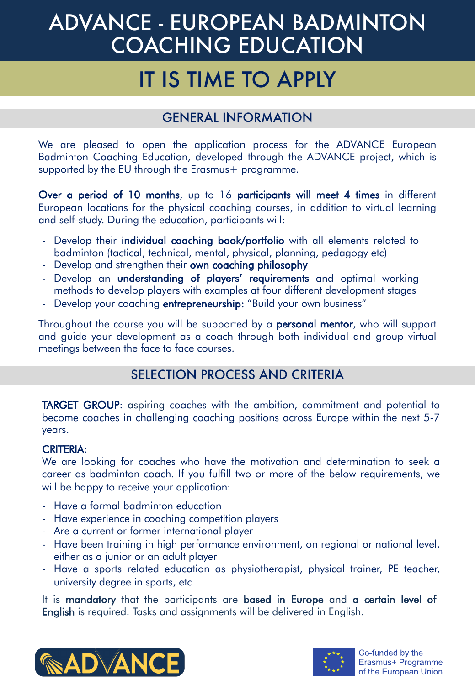# ADVANCE - EUROPEAN BADMINTON COACHING EDUCATION

## IT IS TIME TO APPLY

### GENERAL INFORMATION

We are pleased to open the application process for the ADVANCE European Badminton Coaching Education, developed through the ADVANCE project, which is supported by the EU through the Erasmus+ programme.

Over a period of 10 months, up to 16 participants will meet 4 times in different European locations for the physical coaching courses, in addition to virtual learning and self-study. During the education, participants will:

- Develop their individual coaching book/portfolio with all elements related to badminton (tactical, technical, mental, physical, planning, pedagogy etc)
- Develop and strengthen their own coaching philosophy
- Develop an understanding of players' requirements and optimal working methods to develop players with examples at four different development stages
- Develop your coaching **entrepreneurship:** "Build your own business"

Throughout the course you will be supported by a **personal mentor**, who will support and guide your development as a coach through both individual and group virtual meetings between the face to face courses.

#### SELECTION PROCESS AND CRITERIA

TARGET GROUP: aspiring coaches with the ambition, commitment and potential to become coaches in challenging coaching positions across Europe within the next 5-7 years.

#### CRITERIA:

We are looking for coaches who have the motivation and determination to seek a career as badminton coach. If you fulfill two or more of the below requirements, we will be happy to receive your application:

- Have a formal badminton education
- Have experience in coaching competition players
- Are a current or former international player
- Have been training in high performance environment, on regional or national level, either as a junior or an adult player
- Have a sports related education as physiotherapist, physical trainer, PE teacher, university degree in sports, etc

It is mandatory that the participants are based in Europe and a certain level of English is required. Tasks and assignments will be delivered in English.



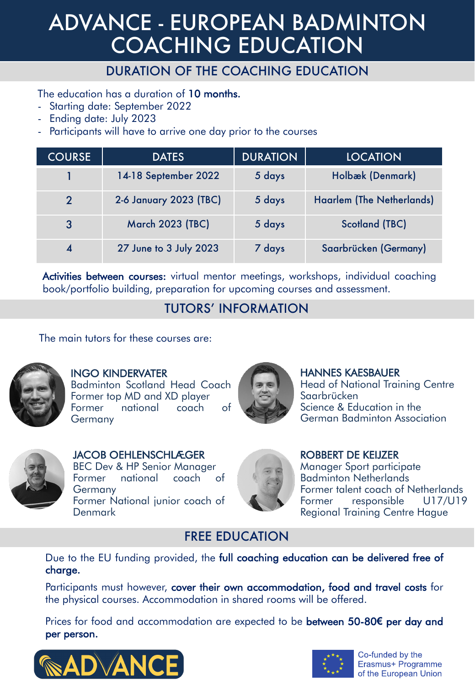## ADVANCE - EUROPEAN BADMINTON COACHING EDUCATION

#### DURATION OF THE COACHING EDUCATION

The education has a duration of 10 months.

- Starting date: September 2022
- Ending date: July 2023
- Participants will have to arrive one day prior to the courses

| <b>COURSE</b> | <b>DATES</b>            | <b>DURATION</b> | <b>LOCATION</b>                  |
|---------------|-------------------------|-----------------|----------------------------------|
|               | 14-18 September 2022    | 5 days          | Holbæk (Denmark)                 |
| $\mathcal{P}$ | 2-6 January 2023 (TBC)  | 5 days          | <b>Haarlem (The Netherlands)</b> |
| $\mathbf{3}$  | <b>March 2023 (TBC)</b> | 5 days          | <b>Scotland (TBC)</b>            |
|               | 27 June to 3 July 2023  | 7 days          | Saarbrücken (Germany)            |

Activities between courses: virtual mentor meetings, workshops, individual coaching book/portfolio building, preparation for upcoming courses and assessment.

#### TUTORS' INFORMATION

The main tutors for these courses are:



#### INGO KINDERVATER

Badminton Scotland Head Coach Former top MD and XD player Former national coach of **Germany** 



HANNES KAESBAUER Head of National Training Centre Saarbrücken Science & Education in the German Badminton Association



JACOB OEHLENSCHLÆGER BEC Dev & HP Senior Manager Former national coach of **Germany** Former National junior coach of Denmark



ROBBERT DE KEIJZER Manager Sport participate Badminton Netherlands Former talent coach of Netherlands Former responsible U17/U19 Regional Training Centre Hague

#### FREE EDUCATION

Due to the EU funding provided, the full coaching education can be delivered free of charge.

Participants must however, cover their own accommodation, food and travel costs for the physical courses. Accommodation in shared rooms will be offered.

Prices for food and accommodation are expected to be between 50-80**€** per day and per person.